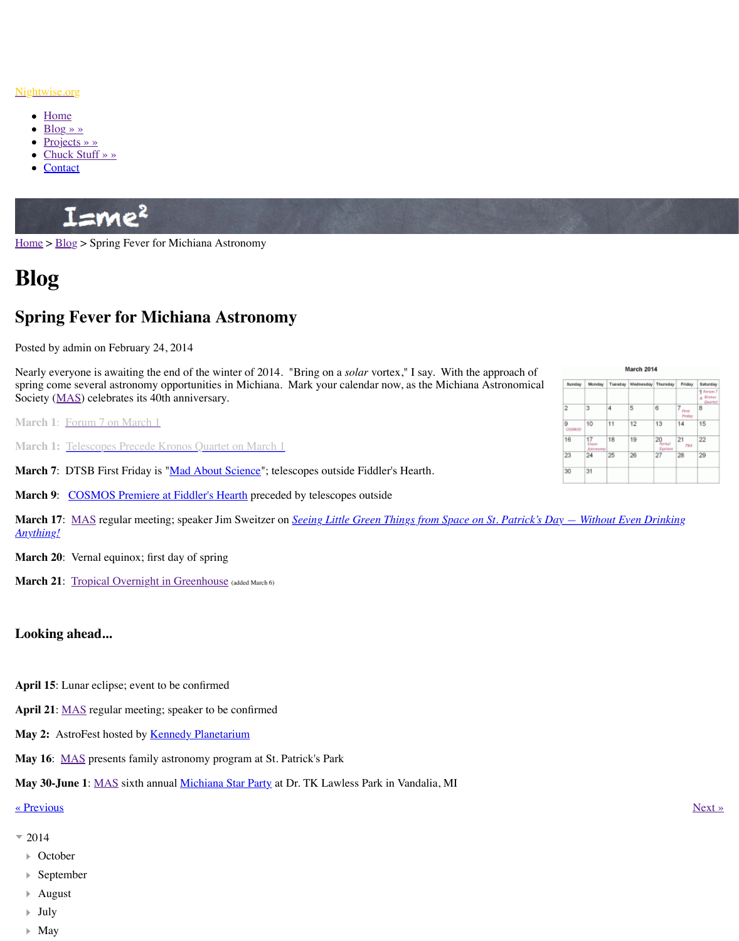Nearly everyone is awaiting the end of the winter of 2014. "Bring on a *solar* vortex," I say. With the approach of spring come several astronomy opportunities in Michiana. Mark your calendar now, as the M Society (MAS) celebrates its 40th anniversary.

**March 1**: Forum 7 on March 1

**March 1: Telescopes Precede Kronos Quartet on March 1** 

**March 7:** DTSB First Friday is "Mad About Science"; telescopes outside Fiddler's Hearth.

**March 9:** COSMOS Premiere at Fiddler's Hearth preceded by telescopes outside

**March 17:** MAS [regu](http://www.nightwise.org/chuck-stuff/)lar meeting; speaker Jim Sweitzer on *Seeing Little Green Things from Anyth[ing!](http://www.nightwise.org/contact/)*

**March 20:** Vernal equinox; first day of spring

**March 21:** Tropical Overnight in Greenhouse (added March 6)

## **Looking ahead...**

- **April 15**: Lunar eclipse; event to be confirmed
- **April 21**: MAS regular meeting; speaker to be confirmed
- May 2: AstroFest hosted by **Kennedy Planetarium**
- **May 16**: [MAS](http://www.michiana-astro.org/) presents family astronomy program at St. Patrick's Park

**May 30-June 1: MAS** sixth annual Michiana Star Party at Dr. TK Lawless Park in Vandalia

« Previous » Next » Next » Next » Next » Next » Next » Next » Next » Next » Next » Next » Next » Next » Next » Next » Next » Next » Next » Next » Next » Next » Next » Next » Next » Next » Next » Next » Next » Next » Next »

- $= 2014$ 
	- October
	- Septe[mber](http://www.nightwise.org/blog/cosmos/)
	- [August](http://www.nightwise.org/!trash/green-things-space/)
	- July
	- $\blacktriangleright$  May